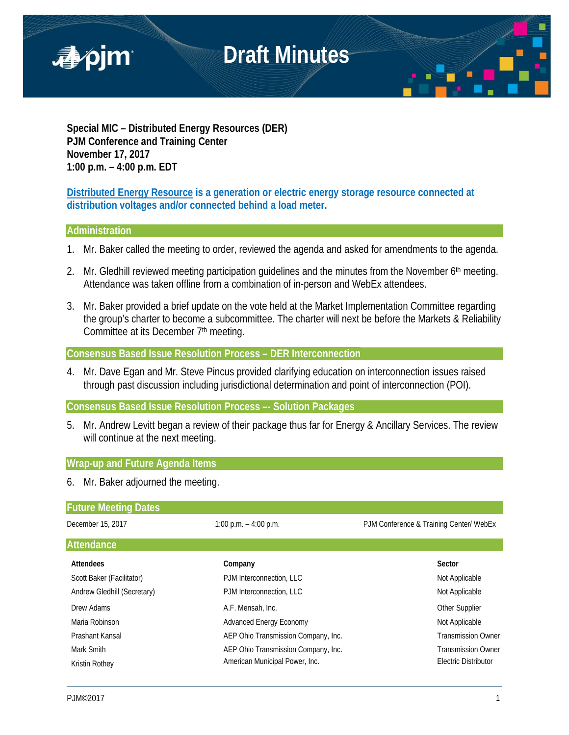

**Special MIC – Distributed Energy Resources (DER) PJM Conference and Training Center November 17, 2017 1:00 p.m. – 4:00 p.m. EDT**

**Distributed Energy Resource is a generation or electric energy storage resource connected at distribution voltages and/or connected behind a load meter.**

## **Administration**

- 1. Mr. Baker called the meeting to order, reviewed the agenda and asked for amendments to the agenda.
- 2. Mr. Gledhill reviewed meeting participation quidelines and the minutes from the November 6<sup>th</sup> meeting. Attendance was taken offline from a combination of in-person and WebEx attendees.
- 3. Mr. Baker provided a brief update on the vote held at the Market Implementation Committee regarding the group's charter to become a subcommittee. The charter will next be before the Markets & Reliability Committee at its December 7<sup>th</sup> meeting.

**Consensus Based Issue Resolution Process – DER Interconnection**

4. Mr. Dave Egan and Mr. Steve Pincus provided clarifying education on interconnection issues raised through past discussion including jurisdictional determination and point of interconnection (POI).

**Consensus Based Issue Resolution Process –- Solution Packages** 

5. Mr. Andrew Levitt began a review of their package thus far for Energy & Ancillary Services. The review will continue at the next meeting.

## **Wrap-up and Future Agenda Items**

6. Mr. Baker adjourned the meeting.

| <b>Future Meeting Dates</b> |                                     |                                         |
|-----------------------------|-------------------------------------|-----------------------------------------|
| December 15, 2017           | 1:00 p.m. $-$ 4:00 p.m.             | PJM Conference & Training Center/ WebEx |
| <b>Attendance</b>           |                                     |                                         |
| Attendees                   | Company                             | Sector                                  |
| Scott Baker (Facilitator)   | PJM Interconnection, LLC            | Not Applicable                          |
| Andrew Gledhill (Secretary) | PJM Interconnection, LLC            | Not Applicable                          |
| Drew Adams                  | A.F. Mensah, Inc.                   | Other Supplier                          |
| Maria Robinson              | <b>Advanced Energy Economy</b>      | Not Applicable                          |
| Prashant Kansal             | AEP Ohio Transmission Company, Inc. | <b>Transmission Owner</b>               |
| Mark Smith                  | AEP Ohio Transmission Company, Inc. | <b>Transmission Owner</b>               |
| Kristin Rothey              | American Municipal Power, Inc.      | Electric Distributor                    |
|                             |                                     |                                         |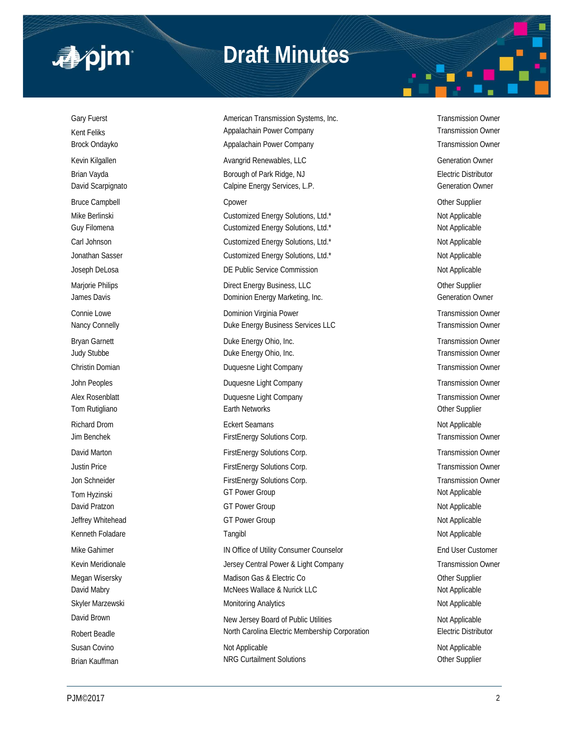

## **Draft Minutes**

Gary Fuerst **American Transmission Systems, Inc.** Transmission Owner Camerican Transmission Owner Kent Feliks **Appalachain Power Company Company** Transmission Owner Company Brock Ondayko **Appalachain Power Company Transmission Owner** Transmission Owner Company Transmission Owner Kevin Kilgallen **Avangrid Renewables, LLC Avangrid Renewables, LLC Contained Burgers** Generation Owner Brian Vayda **Borough of Park Ridge, NJ** Borough of Park Ridge, NJ **Electric Distributor** David Scarpignato **Calpine Energy Services, L.P.** Generation Owner Generation Owner Bruce Campbell **Champion Controll Controller** Controller Controller Controller Controller Controller Controller Mike Berlinski **Nicholas Customized Energy Solutions**, Ltd.\* Not Applicable Not Applicable Guy Filomena **Customized Energy Solutions, Ltd.\*** Customized Energy Solutions, Ltd.\* Not Applicable Carl Johnson **Customized Energy Solutions, Ltd.\*** Not Applicable Not Applicable Jonathan Sasser **Customized Energy Solutions, Ltd.\*** Not Applicable Not Applicable Joseph DeLosa **DE Public Service Commission** DE Public Service Commission Not Applicable Marjorie Philips **Direct Energy Business, LLC** and the Supplier Supplier James Davis **Dominion Energy Marketing, Inc.** Commercial Commercial Commercial Commercial Commercial Commercial Commercial Commercial Commercial Commercial Commercial Commercial Commercial Commercial Commercial Commercial Connie Lowe **Connie Lowe Dominion Virginia Power Connie Lowe Transmission Owner Connie Lowe Transmission Owner** Nancy Connelly **Nancy Connelly Duke Energy Business Services LLC** Transmission Owner Bryan Garnett **Example 20 Find Controller Controller Controller Controller Controller Controller Controller Controller Controller Controller Controller Controller Controller Controller Controller Controller Controller Cont** Judy Stubbe **Duke Energy Ohio, Inc.** Transmission Owner Christin Domian Duquesne Light Company Transmission Owner John Peoples **Duquesne Light Company Transmission Owner** Transmission Owner Alex Rosenblatt **Alex Rosenblatt** Duquesne Light Company **Transmission Owner** Transmission Owner Tom Rutigliano **Earth Networks** Character Character Character Character Character Character Character Character Character Character Character Character Character Character Character Character Character Character Character Richard Drom **Eckert Seamans** Eckert Seamans **Not Applicable** Not Applicable Jim Benchek **FirstEnergy Solutions Corp.** Transmission Owner Corp. Transmission Owner David Marton **FirstEnergy Solutions Corp.** Transmission Owner Corp. Transmission Owner Justin Price **FirstEnergy Solutions Corp.** Transmission Owner Corp. Transmission Owner Jon Schneider **FirstEnergy Solutions Corp.** Transmission Owner Corp. Transmission Owner Tom Hyzinski Not Applicable GT Power Group CT Power Group David Pratzon Not Applicable Communication Communication Communication Communication Communication Communication Communication Communication Communication Communication Communication Communication Communication Communicati Jeffrey Whitehead **GT Power Group COVID COVID-** Not Applicable Kenneth Foladare **Tangibl** Not Applicable Not Applicable Not Applicable Not Applicable Mike Gahimer **IN Office of Utility Consumer Counselor** End User Customer Customer Kevin Meridionale **Merity Central Power & Light Company** Transmission Owner Megan Wisersky **Matison Gas & Electric Co Madison Gas & Electric Co Other Supplier** David Mabry **McNees Wallace & Nurick LLC** Not Applicable Not Applicable Skyler Marzewski **Monitoring Analytics** Monitoring Analytics Not Applicable David Brown New Jersey Board of Public Utilities Not Applicable Robert Beadle **North Carolina Electric Membership Corporation** Electric Distributor Susan Covino **Not Applicable** Not Applicable **Not Applicable** Not Applicable Not Applicable Brian Kauffman **NRG Curtailment Solutions NRG Curtailment Solutions Curtailment** Solutions **Current Cupplier**